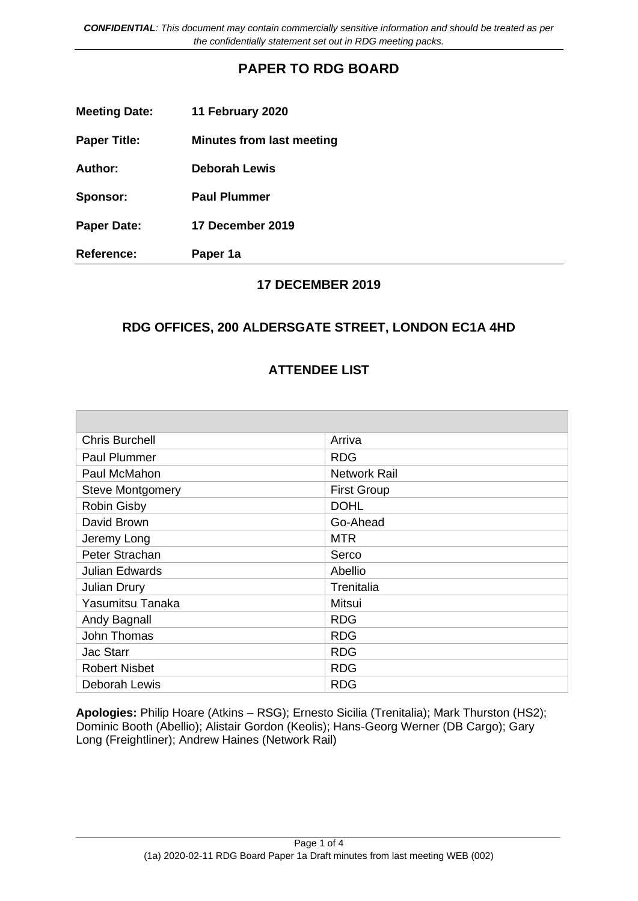*CONFIDENTIAL: This document may contain commercially sensitive information and should be treated as per the confidentially statement set out in RDG meeting packs.*

## **PAPER TO RDG BOARD**

| <b>Meeting Date:</b> | 11 February 2020                 |
|----------------------|----------------------------------|
| <b>Paper Title:</b>  | <b>Minutes from last meeting</b> |
| Author:              | <b>Deborah Lewis</b>             |
| Sponsor:             | <b>Paul Plummer</b>              |
| <b>Paper Date:</b>   | 17 December 2019                 |
| <b>Reference:</b>    | Paper 1a                         |

#### **17 DECEMBER 2019**

### **RDG OFFICES, 200 ALDERSGATE STREET, LONDON EC1A 4HD**

#### **ATTENDEE LIST**

| <b>Chris Burchell</b>   | Arriva              |
|-------------------------|---------------------|
| <b>Paul Plummer</b>     | <b>RDG</b>          |
| Paul McMahon            | <b>Network Rail</b> |
| <b>Steve Montgomery</b> | <b>First Group</b>  |
| <b>Robin Gisby</b>      | <b>DOHL</b>         |
| David Brown             | Go-Ahead            |
| Jeremy Long             | <b>MTR</b>          |
| Peter Strachan          | Serco               |
| <b>Julian Edwards</b>   | Abellio             |
| <b>Julian Drury</b>     | Trenitalia          |
| Yasumitsu Tanaka        | Mitsui              |
| Andy Bagnall            | <b>RDG</b>          |
| John Thomas             | <b>RDG</b>          |
| <b>Jac Starr</b>        | <b>RDG</b>          |
| <b>Robert Nisbet</b>    | <b>RDG</b>          |
| Deborah Lewis           | <b>RDG</b>          |

**Apologies:** Philip Hoare (Atkins – RSG); Ernesto Sicilia (Trenitalia); Mark Thurston (HS2); Dominic Booth (Abellio); Alistair Gordon (Keolis); Hans-Georg Werner (DB Cargo); Gary Long (Freightliner); Andrew Haines (Network Rail)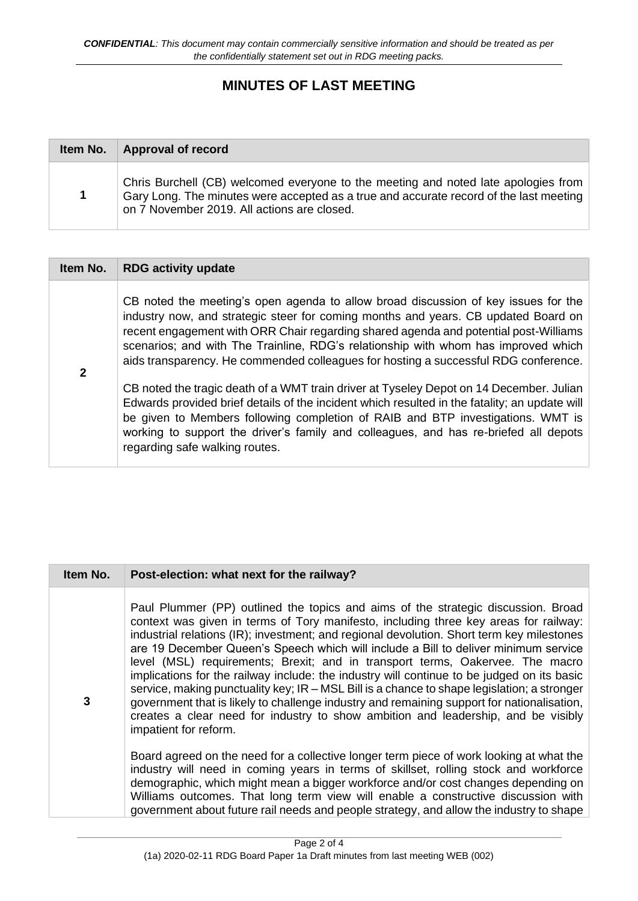# **MINUTES OF LAST MEETING**

| Item No. | <b>Approval of record</b>                                                                                                                                                                                                   |  |
|----------|-----------------------------------------------------------------------------------------------------------------------------------------------------------------------------------------------------------------------------|--|
| 1        | Chris Burchell (CB) welcomed everyone to the meeting and noted late apologies from<br>Gary Long. The minutes were accepted as a true and accurate record of the last meeting<br>on 7 November 2019. All actions are closed. |  |

| Item No.     | <b>RDG activity update</b>                                                                                                                                                                                                                                                                                                                                                                                                                                                                                                                                                                                                                                                                                                                                                                                                                             |  |
|--------------|--------------------------------------------------------------------------------------------------------------------------------------------------------------------------------------------------------------------------------------------------------------------------------------------------------------------------------------------------------------------------------------------------------------------------------------------------------------------------------------------------------------------------------------------------------------------------------------------------------------------------------------------------------------------------------------------------------------------------------------------------------------------------------------------------------------------------------------------------------|--|
| $\mathbf{2}$ | CB noted the meeting's open agenda to allow broad discussion of key issues for the<br>industry now, and strategic steer for coming months and years. CB updated Board on<br>recent engagement with ORR Chair regarding shared agenda and potential post-Williams<br>scenarios; and with The Trainline, RDG's relationship with whom has improved which<br>aids transparency. He commended colleagues for hosting a successful RDG conference.<br>CB noted the tragic death of a WMT train driver at Tyseley Depot on 14 December. Julian<br>Edwards provided brief details of the incident which resulted in the fatality; an update will<br>be given to Members following completion of RAIB and BTP investigations. WMT is<br>working to support the driver's family and colleagues, and has re-briefed all depots<br>regarding safe walking routes. |  |

| Item No. | Post-election: what next for the railway?                                                                                                                                                                                                                                                                                                                                                                                                                                                                                                                                                                                                                                                                                                                                                                                                               |
|----------|---------------------------------------------------------------------------------------------------------------------------------------------------------------------------------------------------------------------------------------------------------------------------------------------------------------------------------------------------------------------------------------------------------------------------------------------------------------------------------------------------------------------------------------------------------------------------------------------------------------------------------------------------------------------------------------------------------------------------------------------------------------------------------------------------------------------------------------------------------|
| 3        | Paul Plummer (PP) outlined the topics and aims of the strategic discussion. Broad<br>context was given in terms of Tory manifesto, including three key areas for railway:<br>industrial relations (IR); investment; and regional devolution. Short term key milestones<br>are 19 December Queen's Speech which will include a Bill to deliver minimum service<br>level (MSL) requirements; Brexit; and in transport terms, Oakervee. The macro<br>implications for the railway include: the industry will continue to be judged on its basic<br>service, making punctuality key; IR - MSL Bill is a chance to shape legislation; a stronger<br>government that is likely to challenge industry and remaining support for nationalisation,<br>creates a clear need for industry to show ambition and leadership, and be visibly<br>impatient for reform. |
|          | Board agreed on the need for a collective longer term piece of work looking at what the<br>industry will need in coming years in terms of skillset, rolling stock and workforce<br>demographic, which might mean a bigger workforce and/or cost changes depending on<br>Williams outcomes. That long term view will enable a constructive discussion with<br>government about future rail needs and people strategy, and allow the industry to shape                                                                                                                                                                                                                                                                                                                                                                                                    |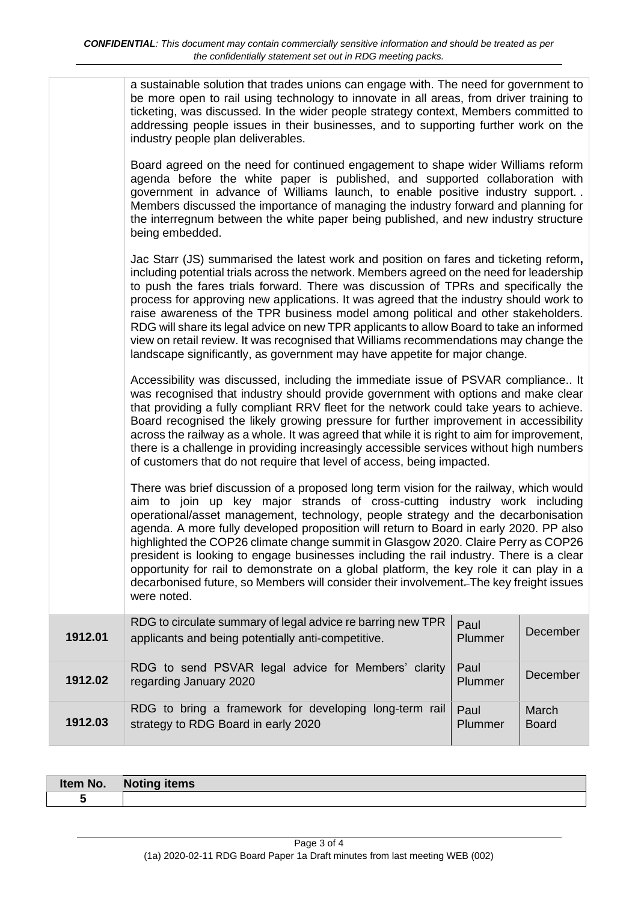|         | ticketing, was discussed. In the wider people strategy context, Members committed to<br>addressing people issues in their businesses, and to supporting further work on the<br>industry people plan deliverables.<br>Board agreed on the need for continued engagement to shape wider Williams reform<br>agenda before the white paper is published, and supported collaboration with<br>government in advance of Williams launch, to enable positive industry support.<br>Members discussed the importance of managing the industry forward and planning for<br>the interregnum between the white paper being published, and new industry structure<br>being embedded.<br>Jac Starr (JS) summarised the latest work and position on fares and ticketing reform,<br>including potential trials across the network. Members agreed on the need for leadership<br>to push the fares trials forward. There was discussion of TPRs and specifically the<br>process for approving new applications. It was agreed that the industry should work to<br>raise awareness of the TPR business model among political and other stakeholders.<br>RDG will share its legal advice on new TPR applicants to allow Board to take an informed<br>view on retail review. It was recognised that Williams recommendations may change the<br>landscape significantly, as government may have appetite for major change.<br>Accessibility was discussed, including the immediate issue of PSVAR compliance It<br>was recognised that industry should provide government with options and make clear<br>that providing a fully compliant RRV fleet for the network could take years to achieve.<br>Board recognised the likely growing pressure for further improvement in accessibility<br>across the railway as a whole. It was agreed that while it is right to aim for improvement,<br>there is a challenge in providing increasingly accessible services without high numbers<br>of customers that do not require that level of access, being impacted.<br>There was brief discussion of a proposed long term vision for the railway, which would<br>aim to join up key major strands of cross-cutting industry work including<br>operational/asset management, technology, people strategy and the decarbonisation<br>agenda. A more fully developed proposition will return to Board in early 2020. PP also<br>highlighted the COP26 climate change summit in Glasgow 2020. Claire Perry as COP26<br>president is looking to engage businesses including the rail industry. There is a clear<br>opportunity for rail to demonstrate on a global platform, the key role it can play in a<br>decarbonised future, so Members will consider their involvement. The key freight issues<br>were noted. |                 |              |
|---------|--------------------------------------------------------------------------------------------------------------------------------------------------------------------------------------------------------------------------------------------------------------------------------------------------------------------------------------------------------------------------------------------------------------------------------------------------------------------------------------------------------------------------------------------------------------------------------------------------------------------------------------------------------------------------------------------------------------------------------------------------------------------------------------------------------------------------------------------------------------------------------------------------------------------------------------------------------------------------------------------------------------------------------------------------------------------------------------------------------------------------------------------------------------------------------------------------------------------------------------------------------------------------------------------------------------------------------------------------------------------------------------------------------------------------------------------------------------------------------------------------------------------------------------------------------------------------------------------------------------------------------------------------------------------------------------------------------------------------------------------------------------------------------------------------------------------------------------------------------------------------------------------------------------------------------------------------------------------------------------------------------------------------------------------------------------------------------------------------------------------------------------------------------------------------------------------------------------------------------------------------------------------------------------------------------------------------------------------------------------------------------------------------------------------------------------------------------------------------------------------------------------------------------------------------------------------------------------------------------------------------------------------------------------------------------------------------------------------------------------------------------------------------------------|-----------------|--------------|
| 1912.01 | RDG to circulate summary of legal advice re barring new TPR<br>applicants and being potentially anti-competitive.                                                                                                                                                                                                                                                                                                                                                                                                                                                                                                                                                                                                                                                                                                                                                                                                                                                                                                                                                                                                                                                                                                                                                                                                                                                                                                                                                                                                                                                                                                                                                                                                                                                                                                                                                                                                                                                                                                                                                                                                                                                                                                                                                                                                                                                                                                                                                                                                                                                                                                                                                                                                                                                                    | Paul<br>Plummer | December     |
| 1912.02 | RDG to send PSVAR legal advice for Members' clarity<br>regarding January 2020                                                                                                                                                                                                                                                                                                                                                                                                                                                                                                                                                                                                                                                                                                                                                                                                                                                                                                                                                                                                                                                                                                                                                                                                                                                                                                                                                                                                                                                                                                                                                                                                                                                                                                                                                                                                                                                                                                                                                                                                                                                                                                                                                                                                                                                                                                                                                                                                                                                                                                                                                                                                                                                                                                        | Paul<br>Plummer | December     |
|         | RDG to bring a framework for developing long-term rail                                                                                                                                                                                                                                                                                                                                                                                                                                                                                                                                                                                                                                                                                                                                                                                                                                                                                                                                                                                                                                                                                                                                                                                                                                                                                                                                                                                                                                                                                                                                                                                                                                                                                                                                                                                                                                                                                                                                                                                                                                                                                                                                                                                                                                                                                                                                                                                                                                                                                                                                                                                                                                                                                                                               | Paul            | March        |
| 1912.03 | strategy to RDG Board in early 2020                                                                                                                                                                                                                                                                                                                                                                                                                                                                                                                                                                                                                                                                                                                                                                                                                                                                                                                                                                                                                                                                                                                                                                                                                                                                                                                                                                                                                                                                                                                                                                                                                                                                                                                                                                                                                                                                                                                                                                                                                                                                                                                                                                                                                                                                                                                                                                                                                                                                                                                                                                                                                                                                                                                                                  | Plummer         | <b>Board</b> |

| Item No. | <b>Noting items</b> |
|----------|---------------------|
|          |                     |